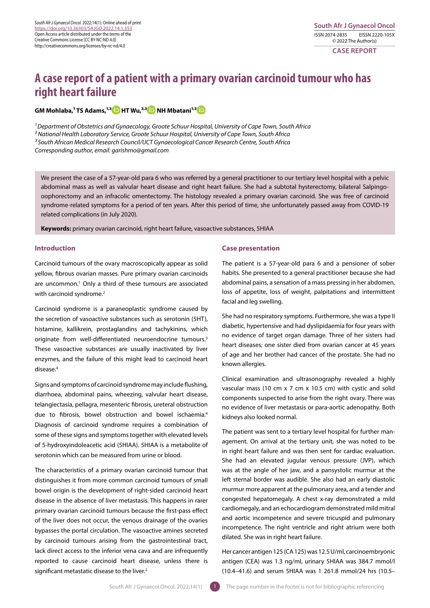# **A case report of a patient with a primary ovarian carcinoid tumour who has right heart failure**

 $GM$  Mohlaba,<sup>1</sup> TS Adams,<sup>1,[3](https://orcid.org/0000-0001-8826-5182)</sup> D HT Wu,<sup>2,3</sup> D NH Mbatani<sup>1,3</sup> D

*1 Department of Obstetrics and Gynaecology, Groote Schuur Hospital, University of Cape Town, South Africa 2 National Health Laboratory Service, Groote Schuur Hospital, University of Cape Town, South Africa 3 South African Medical Research Council/UCT Gynaecological Cancer Research Centre, South Africa Corresponding author, email: garishmo@gmail.com*

We present the case of a 57-year-old para 6 who was referred by a general practitioner to our tertiary level hospital with a pelvic abdominal mass as well as valvular heart disease and right heart failure. She had a subtotal hysterectomy, bilateral Salpingooophorectomy and an infracolic omentectomy. The histology revealed a primary ovarian carcinoid. She was free of carcinoid syndrome-related symptoms for a period of ten years. After this period of time, she unfortunately passed away from COVID-19 related complications (in July 2020).

**Keywords:** primary ovarian carcinoid, right heart failure, vasoactive substances, 5HIAA

# **Introduction**

Carcinoid tumours of the ovary macroscopically appear as solid yellow, fibrous ovarian masses. Pure primary ovarian carcinoids are uncommon.<sup>1</sup> Only a third of these tumours are associated with carcinoid syndrome.<sup>2</sup>

Carcinoid syndrome is a paraneoplastic syndrome caused by the secretion of vasoactive substances such as serotonin (5HT), histamine, kallikrein, prostaglandins and tachykinins, which originate from well-differentiated neuroendocrine tumours.<sup>3</sup> These vasoactive substances are usually inactivated by liver enzymes, and the failure of this might lead to carcinoid heart disease.4

Signs and symptoms of carcinoid syndrome may include flushing, diarrhoea, abdominal pains, wheezing, valvular heart disease, telangiectasia, pellagra, mesenteric fibrosis, ureteral obstruction due to fibrosis, bowel obstruction and bowel ischaemia.4 Diagnosis of carcinoid syndrome requires a combination of some of these signs and symptoms together with elevated levels of 5-hydroxyindoleacetic acid (5HIAA). 5HIAA is a metabolite of serotonin which can be measured from urine or blood.

The characteristics of a primary ovarian carcinoid tumour that distinguishes it from more common carcinoid tumours of small bowel origin is the development of right-sided carcinoid heart disease in the absence of liver metastasis. This happens in rarer primary ovarian carcinoid tumours because the first-pass effect of the liver does not occur, the venous drainage of the ovaries bypasses the portal circulation. The vasoactive amines secreted by carcinoid tumours arising from the gastrointestinal tract, lack direct access to the inferior vena cava and are infrequently reported to cause carcinoid heart disease, unless there is significant metastatic disease to the liver.2

## **Case presentation**

The patient is a 57-year-old para 6 and a pensioner of sober habits. She presented to a general practitioner because she had abdominal pains, a sensation of a mass pressing in her abdomen, loss of appetite, loss of weight, palpitations and intermittent facial and leg swelling.

She had no respiratory symptoms. Furthermore, she was a type II diabetic, hypertensive and had dyslipidaemia for four years with no evidence of target organ damage. Three of her sisters had heart diseases; one sister died from ovarian cancer at 45 years of age and her brother had cancer of the prostate. She had no known allergies.

Clinical examination and ultrasonography revealed a highly vascular mass (10 cm x 7 cm x 10.5 cm) with cystic and solid components suspected to arise from the right ovary. There was no evidence of liver metastasis or para-aortic adenopathy. Both kidneys also looked normal.

The patient was sent to a tertiary level hospital for further management. On arrival at the tertiary unit, she was noted to be in right heart failure and was then sent for cardiac evaluation. She had an elevated jugular venous pressure (JVP), which was at the angle of her jaw, and a pansystolic murmur at the left sternal border was audible. She also had an early diastolic murmur more apparent at the pulmonary area, and a tender and congested hepatomegaly. A chest x-ray demonstrated a mild cardiomegaly, and an echocardiogram demonstrated mild mitral and aortic incompetence and severe tricuspid and pulmonary incompetence. The right ventricle and right atrium were both dilated. She was in right heart failure.

Her cancer antigen 125 (CA 125) was 12.5 U/ml, carcinoembryonic antigen (CEA) was 1.3 ng/ml, urinary 5HIAA was 384.7 mmol/l (10.4–41.6) and serum 5HIAA was 1 261.8 mmol/24 hrs (10.5–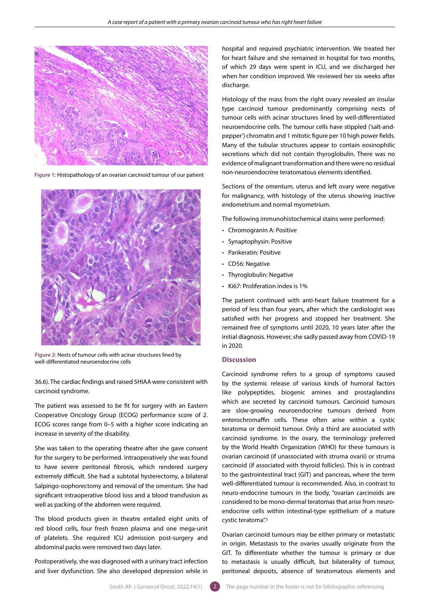

**Figure 1:** Histopathology of an ovarian carcinoid tumour of our patient



**Figure 2:** Nests of tumour cells with acinar structures lined by well-differentiated neuroendocrine cells

36.6). The cardiac findings and raised 5HIAA were consistent with carcinoid syndrome.

The patient was assessed to be fit for surgery with an Eastern Cooperative Oncology Group (ECOG) performance score of 2. ECOG scores range from 0–5 with a higher score indicating an increase in severity of the disability.

She was taken to the operating theatre after she gave consent for the surgery to be performed. Intraoperatively she was found to have severe peritoneal fibrosis, which rendered surgery extremely difficult. She had a subtotal hysterectomy, a bilateral Salpingo-oophorectomy and removal of the omentum. She had significant intraoperative blood loss and a blood transfusion as well as packing of the abdomen were required.

The blood products given in theatre entailed eight units of red blood cells, four fresh frozen plasma and one mega-unit of platelets. She required ICU admission post-surgery and abdominal packs were removed two days later.

Postoperatively, she was diagnosed with a urinary tract infection and liver dysfunction. She also developed depression while in

hospital and required psychiatric intervention. We treated her for heart failure and she remained in hospital for two months, of which 29 days were spent in ICU, and we discharged her when her condition improved. We reviewed her six weeks after discharge.

Histology of the mass from the right ovary revealed an insular type carcinoid tumour predominantly comprising nests of tumour cells with acinar structures lined by well-differentiated neuroendocrine cells. The tumour cells have stippled ('salt-andpepper') chromatin and 1 mitotic figure per 10 high power fields. Many of the tubular structures appear to contain eosinophilic secretions which did not contain thyroglobulin. There was no evidence of malignant transformation and there were no residual non-neuroendocrine teratomatous elements identified.

Sections of the omentum, uterus and left ovary were negative for malignancy, with histology of the uterus showing inactive endometrium and normal myometrium.

The following immunohistochemical stains were performed:

- Chromogranin A: Positive
- Synaptophysin: Positive
- Pankeratin: Positive
- CD56: Negative
- Thyroglobulin: Negative
- Ki67: Proliferation index is 1%

The patient continued with anti-heart failure treatment for a period of less than four years, after which the cardiologist was satisfied with her progress and stopped her treatment. She remained free of symptoms until 2020, 10 years later after the initial diagnosis. However, she sadly passed away from COVID-19 in 2020.

### **Discussion**

Carcinoid syndrome refers to a group of symptoms caused by the systemic release of various kinds of humoral factors like polypeptides, biogenic amines and prostaglandins which are secreted by carcinoid tumours. Carcinoid tumours are slow-growing neuroendocrine tumours derived from enterochromaffin cells. These often arise within a cystic teratoma or dermoid tumour. Only a third are associated with carcinoid syndrome. In the ovary, the terminology preferred by the World Health Organization (WHO) for these tumours is ovarian carcinoid (if unassociated with struma ovarii) or struma carcinoid (if associated with thyroid follicles). This is in contrast to the gastrointestinal tract (GIT) and pancreas, where the term well-differentiated tumour is recommended. Also, in contrast to neuro-endocrine tumours in the body, "ovarian carcinoids are considered to be mono-dermal teratomas that arise from neuroendocrine cells within intestinal-type epithelium of a mature cystic teratoma".5

Ovarian carcinoid tumours may be either primary or metastatic in origin. Metastasis to the ovaries usually originate from the GIT. To differentiate whether the tumour is primary or due to metastasis is usually difficult, but bilaterality of tumour, peritoneal deposits, absence of teratomatous elements and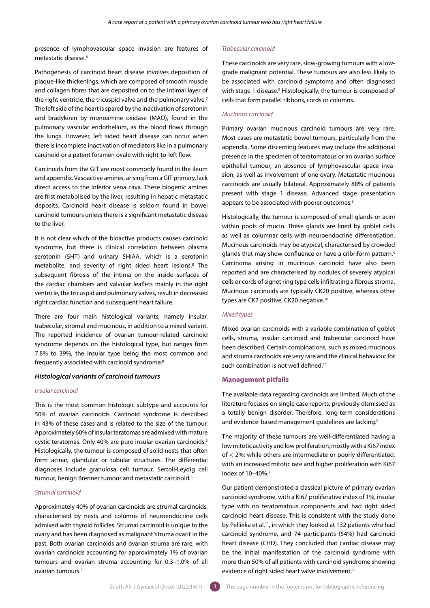presence of lymphovascular space invasion are features of metastatic disease.<sup>6</sup>

Pathogenesis of carcinoid heart disease involves deposition of plaque-like thickenings, which are composed of smooth muscle and collagen fibres that are deposited on to the intimal layer of the right ventricle, the tricuspid valve and the pulmonary valve.<sup>7</sup> The left side of the heart is spared by the inactivation of serotonin and bradykinin by monoamine oxidase (MAO), found in the pulmonary vascular endothelium, as the blood flows through the lungs. However, left sided heart disease can occur when there is incomplete inactivation of mediators like in a pulmonary carcinoid or a patent foramen ovale with right-to-left flow.

Carcinoids from the GIT are most commonly found in the ileum and appendix. Vasoactive amines, arising from a GIT primary, lack direct access to the inferior vena cava. These biogenic amines are first metabolised by the liver, resulting in hepatic metastatic deposits. Carcinoid heart disease is seldom found in bowel carcinoid tumours unless there is a significant metastatic disease to the liver.

It is not clear which of the bioactive products causes carcinoid syndrome, but there is clinical correlation between plasma serotonin (5HT) and urinary 5HIAA, which is a serotonin metabolite, and severity of right sided heart lesions.8 The subsequent fibrosis of the intima on the inside surfaces of the cardiac chambers and valvular leaflets mainly in the right ventricle, the tricuspid and pulmonary valves, result in decreased right cardiac function and subsequent heart failure.

There are four main histological variants, namely insular, trabecular, stromal and mucinous, in addition to a mixed variant. The reported incidence of ovarian tumour-related carcinoid syndrome depends on the histological type, but ranges from 7.8% to 39%, the insular type being the most common and frequently associated with carcinoid syndrome.9

#### *Histological variants of carcinoid tumours*

## *Insular carcinoid*

This is the most common histologic subtype and accounts for 50% of ovarian carcinoids. Carcinoid syndrome is described in 43% of these cases and is related to the size of the tumour. Approximately 60% of insular teratomas are admixed with mature cystic teratomas. Only 40% are pure insular ovarian carcinoids.2 Histologically, the tumour is composed of solid nests that often form acinar, glandular or tubular structures. The differential diagnoses include granulosa cell tumour, Sertoli-Leydig cell tumour, benign Brenner tumour and metastatic carcinoid.5

#### *Strumal carcinoid*

Approximately 40% of ovarian carcinoids are strumal carcinoids, characterised by nests and columns of neuroendocrine cells admixed with thyroid follicles. Strumal carcinoid is unique to the ovary and has been diagnosed as malignant 'struma ovarii' in the past. Both ovarian carcinoids and ovarian struma are rare, with ovarian carcinoids accounting for approximately 1% of ovarian tumours and ovarian struma accounting for 0.3–1.0% of all ovarian tumours.5

#### *Trabecular carcinoid*

These carcinoids are very rare, slow-growing tumours with a lowgrade malignant potential. These tumours are also less likely to be associated with carcinoid symptoms and often diagnosed with stage 1 disease.<sup>9</sup> Histologically, the tumour is composed of cells that form parallel ribbons, cords or columns.

#### *Mucinous carcinoid*

Primary ovarian mucinous carcinoid tumours are very rare. Most cases are metastatic bowel tumours, particularly from the appendix. Some discerning features may include the additional presence in the specimen of teratomatous or an ovarian surface epithelial tumour, an absence of lymphovascular space invasion, as well as involvement of one ovary. Metastatic mucinous carcinoids are usually bilateral. Approximately 88% of patients present with stage 1 disease. Advanced stage presentation appears to be associated with poorer outcomes.<sup>8</sup>

Histologically, the tumour is composed of small glands or acini within pools of mucin. These glands are lined by goblet cells as well as columnar cells with neuroendocrine differentiation. Mucinous carcinoids may be atypical, characterised by crowded glands that may show confluence or have a cribriform pattern.<sup>5</sup> Carcinoma arising in mucinous carcinoid have also been reported and are characterised by nodules of severely atypical cells or cords of signet ring type cells infiltrating a fibrous stroma. Mucinous carcinoids are typically CK20 positive, whereas other types are CK7 positive, CK20 negative.10

## *Mixed types*

Mixed ovarian carcinoids with a variable combination of goblet cells, struma, insular carcinoid and trabecular carcinoid have been described. Certain combinations, such as mixed mucinous and struma carcinoids are very rare and the clinical behaviour for such combination is not well defined.<sup>11</sup>

## **Management pitfalls**

The available data regarding carcinoids are limited. Much of the literature focuses on single case reports, previously dismissed as a totally benign disorder. Therefore, long-term considerations and evidence-based management guidelines are lacking.<sup>9</sup>

The majority of these tumours are well-differentiated having a low mitotic activity and low proliferation, mostly with a Ki67 index of < 2%; while others are intermediate or poorly differentiated, with an increased mitotic rate and higher proliferation with Ki67 index of 10-40%.<sup>8</sup>

Our patient demonstrated a classical picture of primary ovarian carcinoid syndrome, with a Ki67 proliferative index of 1%, insular type with no teratomatous components and had right sided carcinoid heart disease. This is consistent with the study done by Pellikka et al.<sup>11</sup>, in which they looked at 132 patients who had carcinoid syndrome, and 74 participants (54%) had carcinoid heart disease (CHD). They concluded that cardiac disease may be the initial manifestation of the carcinoid syndrome with more than 50% of all patients with carcinoid syndrome showing evidence of right sided heart valve involvement.<sup>11</sup>